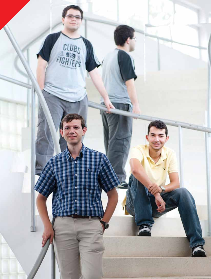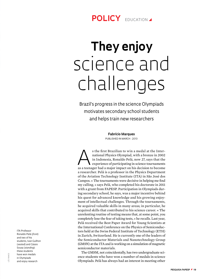## **POLICY EDUCATION**

# **They enjoy**  science and challenges

Brazil's progress in the science Olympiads motivates secondary school students and helps train new researchers

> **Fabrício Marques** Published in March - 2013

s the first Brazilian to win a medal at the Inter-<br>national Physics Olympiad, with a bronze in 2002<br>in Indonesia, Ronaldo Pelá, now 27, says that the<br>experience of participating in science tournaments<br>as a technology bad a national Physics Olympiad, with a bronze in 2002 in Indonesia, Ronaldo Pelá, now 27, says that the experience of participating in science tournaments as a teenager had a major impact on his decision to become a researcher. Pelá is a professor in the Physics Department of the Aviation Technology Institute (ITA) in São José dos Campos. « The tournaments were decisive in helping me find my calling, » says Pelá, who completed his doctorate in 2011 with a grant from FAPESP. Participation in Olympiads during secondary school, he says, was a major incentive behind his quest for advanced knowledge and his growing enjoyment of intellectual challenges. Through the tournaments, he acquired valuable skills in many areas; in particular, he acquired skills that contributed to his science career. « The unrelenting routine of testing means that, at some point, you completely lose the fear of taking tests, » he recalls. Last year, Pelá received the Best Paper Award for Young Scientists at the International Conference on the Physics of Semiconductors held at the Swiss Federal Institute of Technology (ETH) in Zurich, Switzerland. He is currently one of the leaders of the Semiconductor Materials and Nanotechnology Group (GMSN) at the ITA and is working on a simulation of magnetic semiconductor materials.

The GMSM, not coincidentally, has two undergraduate science students who have won a number of medals in science Olympiads. Pelá has always had an interest in meeting other

ITA Professor Ronaldo Pelá (*front*) and two of his students, Ivan Guilhon (*seated*) and Cássio Sousa (*standing*): these students have won medals in Olympiads and enjoy research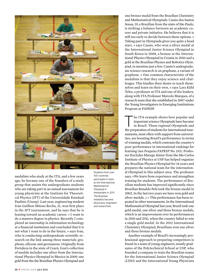

medalists who study at the ITA, and a few years ago, he became one of the founders of a study group that assists the undergraduate students who are taking part in an annual tournament for young physicists at the Institute for Theoretical Physics (IFT) of the Universidade Estadual Paulista (Unesp). Last year, engineering student Ivan Guilhon Mitoso Rocha, 21, won first place in the IFT tournament, and he says that he is leaning toward an academic career. « I want to do a masters degree in physics. Recently I completed an internship in information technology at a financial institution and concluded that it is not what I want to do in the future, » says Ivan, who is conducting undergraduate scientific research on the link among three materials: graphene, silicene and germanene. Originally from Fortaleza in the state of Ceará, Ivan's collection of medals includes one silver from the International Physics Olympiad in Mexico in 2009, one gold from the the Brazilian Physics Olympiad and

Students from over 100 countries participate in tests at the International Mathematical Olympiad in Amsterdam in 2011. The Brazilian medalists become physicians, engineers and researchers

one bronze medal from the Brazilian Chemistry and Mathematical Olympiads. Cassio dos Santos Sousa, 19, a Brazilian from the state of São Paulo, is striking a balance between an academic career and private initiative. He believes that it is still too early to decide between these options. « Taking part in Olympiads gives you quite a head start, » says Cassio, who won a silver medal at the International Junior Science Olympiad in South Korea in 2008, a bronze at the International Physics Olympiad in Croatia in 2010 and a gold at the Brazilian Physics and Robotics Olympiad, to mention just a few. Cassio's undergraduate science research is on graphane, a variant of graphene. « One common characteristic of the medalists is that they enjoy science and challenges. This kindles their desire to teach themselves and learn on their own, » says Lara Kühl Teles, a professor at ITA and one of the leaders, along with ITA Professor Marcelo Marques, of a research team that she established in 2007 under the Young Investigators in Emerging Institutions Program at FAPESP.

The ITA example shows how popular and important science Olympiads have become in Brazil. These regional Olympiads and important science Olympiads have become in Brazil. These regional Olympiads and the preparation of students for international tournaments, most often with support from universities, are boosting Brazil's performance in terms of winning medals, which contrasts the country's poor performance in international rankings for learning (see *Pesquisa FAPESP* No. 153). Professor Euclydes Marega Júnior from the São Carlos Institute of Physics at USP has helped organize the Brazilian Physics Olympiad for 14 years and prepares the national team for the international Olympiad in this subject area. The professor says, «We learn from experience and strengthen training for students. The performance of Brazilian students has improved significantly since Brazilian Ronaldo Pelá took the bronze medal in 2002. In the last two years we have won gold and silver medals. » » This performance has been repeated in other tournaments. In the International Mathematical Olympiad last year, Brazil took one gold medal, one silver and three bronze medals, which is an improvement over its performances in 2010 and 2011, when the country failed to win a single gold medal. In the 2012 International Chemistry Olympiad, Brazilians won one silver and three bronze medals.

Another example of Brazil's increasingly professional approach to preparing competitors is found in a team of young engineers, mostly graduates of the Polytechnical School at USP, who founded a company to train the Brazilian teams for the International Junior Science Olympiad (IJSO) and the International Young Physicists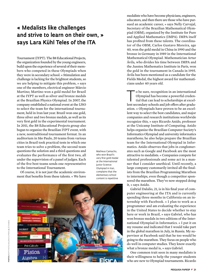#### **« Medalists like challenges and strive to learn on their own, » says Lara Kühl Teles of the ITA**

Tournament (IYPT). The B8 Educational Projects, the organization founded by the young engineers, build upon the experience of several of their members who competed in these Olympiads when they were in secondary school. « Stimulation and challenge is lacking for the brightest students, so we are helping to mitigate this problem, » says one of the members, electrical engineer Márcio Martino; Martino won a gold medal for Brazil at the IYPT as well as silver and bronze medals at the Brazilian Physics Olympiad. In 2007, the company established a national event at the IJSO to select the team for the international tournament, held in Iran last year. Brazil won one gold, three silver and two bronze medals, as well as its very first gold in the experimental tournament. In 2011, the B8 Educational Projects group also began to organize the Brazilian IYPT event, with a new, nontraditional tournament format. In an auditorium in São Paulo, 20 teams from various cities in Brazil took practical tests in which one team tries to solve a problem, the second team questions the solution and a third questions and evaluates the performance of the first two, all under the supervision of a panel of judges. Each of the five best teams sends one representative to the International Tournament.

Of course, it is not just the academic environment that benefits from these talents. « We have

Matheus Camacho, who won Brazil's very first gold medal at the International Junior Science Olympiad in Iran, complains that the elementary school content is repetitive



medalists who have become physicians, engineers, educators, and then there are those who have pursued an academic career, » says Nelly Carvajal, Secretary of the Brazilian Mathematical Olympiad (OBM), organized by the Institute for Pure and Applied Mathematics (IMPA). IMPA itself has profited from these talents. The coordinator of the OBM, Carlos Gustavo Moreira, age 40, won the gold medal in China in 1990 and the bronze in Germany in 1989 in the International Mathematical Olympiad. Mathematician Artur Ávila, who divides his time between IMPA and the Jussieu Mathematics Institute in Paris, won the gold in the tournament in Canada in 1995. Ávila has been mentioned as a candidate for the Fields Medal, the highest award for mathematicians under 40 years old.

o be sure, recognition in an international<br>Olympiad has become a powerful creden-<br>tial that can lead to scholarships at excel-Olympiad has become a powerful credential that can lead to scholarships at excellent secondary schools and job offers after graduation. « Olympiads have proven to be an excellent way to select the best candidates, and major companies and research institutions worldwide recognize this, » says Ricardo Anido, professor at the Unicamp Institute of Computing. Anido helps organize the Brazilian Computer Society's Informatics Olympiad and university informatics marathons; he also helps prepare the Brazilian team for the International Olympiad in Informatics. Anido observes that jobs in conglomerates such as Google and Facebook are the most attractive to medalists. « Companies compete for talented professionals and some act in a manner that I consider unethical. Until recently, a large company customarily invited all the finalists from the Brazilian Programming Marathon to internships, even though a competitor sponsored the marathon. They've now stopped doing it, » says Anido.

Gabriel Dalalio, 21, is in his final year of computer engineering at the ITA and is currently spending three months in California on an internship with Facebook. « I plan to work as a programmer and am evaluating the experience in the United States to decide whether to stay here or work in Brazil, » says Gabriel, who has won bronze medals in two editions of the International Olympiad in Informatics. « I put it on my resume and indicated that I would take part in the global marathon in July, in Russia. My supervisor at Facebook said that he too would be going to the marathon. They focus on people who do well in computer studies. They know exactly what a bronze medal is, » says Gabriel.

One common trait seen in many medalists is their willingness to help the younger students who are new to Olympiad tournaments. Ricardo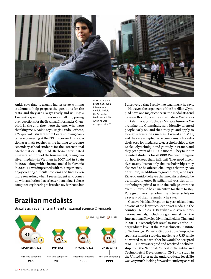

Anido says that he usually invites prize-winning students to help prepare the questions for the tests, and they are always ready and willing. « I recently spent four days in a small city poring over questions for the Brazilian Informatics Olympiad. In the end, they were the ones who were thanking me, » Anido says. Regis Prado Barbosa, a 22-year-old student from Ceará studying computer engineering at the ITA discovered his vocation as a math teacher while helping to prepare secondary school students for the International Mathematical Olympiad. Barbosa participated in several editions of the tournament, taking two silver medals—in Vietnam in 2007 and in Spain in 2008—along with a bronze medal in Slovenia in 2006. « I was impressed with this experience. I enjoy creating difficult problems and find it even more rewarding when I see a student who comes up with a solution that is better than mine. I chose computer engineering to broaden my horizons, but

Braga has seven international medals; he left the School of Medicine at USP when he was accepted at MIT

#### **Brazilian medalists**

Brazil's achievements in the international science Olympiads



I discovered that I really like teaching, » he says.

However, the organizers of the Brazilian Olympiad have one major concern: the medalists tend to leave Brazil once they graduate. « We're losing talent, » says Euclydes Marega Júnior. « We organize the Olympiads, help identify talented people early on, and then they go and apply to foreign universities such as Harvard and MIT, and they are accepted, » he complains. « It's relatively easy for medalists to get scholarships to the École Polytechnique and go study in France, and they get a grant of  $\epsilon$ 1,000 a month. They take our talented students for  $E1,000$ ! We need to figure out how to keep them in Brazil. They need incentives to stay. It's not only about scholarships: they also need to be offered challenges that they can delve into, in addition to good tutors, » he says. Ricardo Anido believes that medalists should be permitted to enter Brazilian universities without being required to take the college entrance exam. « It would be an incentive for them to stay. Foreign universities admit them based solely on a review of their résumés, » he says.

Gustavo Haddad Braga, an 18-year-old student, has one of the largest collections of medals in the country. He holds 50 Brazilian and seven international medals, including a gold medal from the International Physics Olympiad held in Thailand in 2011. He recently left Brazil to study at the undergraduate level at the Massachusetts Institute of Technology. Raised in São José dos Campos, he spent six months studying medicine at USP while he waited to see whether he would be accepted at MIT. He was accepted and received a scholarship from the National Council for Scientific and Technological Development (CNPq) to study in the United States at the undergraduate level. He was very much looking forward to studying abroad